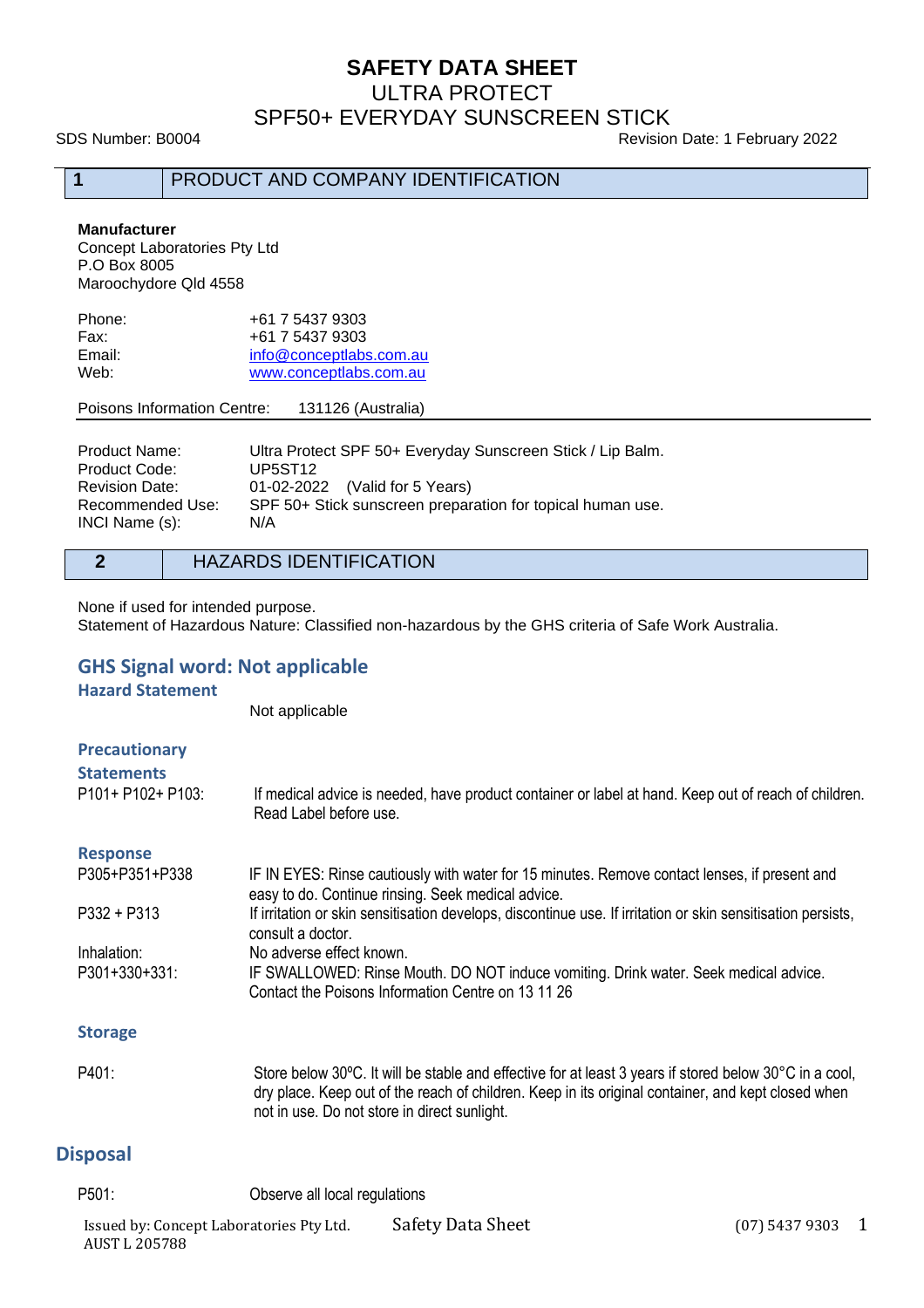# **SAFETY DATA SHEET**

ULTRA PROTECT

SPF50+ EVERYDAY SUNSCREEN STICK

SDS Number: B0004 Revision Date: 1 February 2022

**1** PRODUCT AND COMPANY IDENTIFICATION

#### **Manufacturer**

Concept Laboratories Pty Ltd P.O Box 8005 Maroochydore Qld 4558

| Phone: | +61 7 5437 9303         |
|--------|-------------------------|
| Fax:   | +61 7 5437 9303         |
| Email: | info@conceptlabs.com.au |
| Web:   | www.conceptlabs.com.au  |
|        |                         |

#### Poisons Information Centre: 131126 (Australia)

| Product Name:         | Ultra Protect SPF 50+ Everyday Sunscreen Stick / Lip Balm. |
|-----------------------|------------------------------------------------------------|
| Product Code:         | UP5ST <sub>12</sub>                                        |
| <b>Revision Date:</b> | 01-02-2022 (Valid for 5 Years)                             |
| Recommended Use:      | SPF 50+ Stick sunscreen preparation for topical human use. |
| INCI Name (s):        | N/A                                                        |

#### **2** HAZARDS IDENTIFICATION

None if used for intended purpose.

Statement of Hazardous Nature: Classified non-hazardous by the GHS criteria of Safe Work Australia.

### **GHS Signal word: Not applicable**

**Hazard Statement**

Not applicable

| <b>Precautionary</b><br><b>Statements</b><br>P101+ P102+ P103: | If medical advice is needed, have product container or label at hand. Keep out of reach of children.<br>Read Label before use.                      |
|----------------------------------------------------------------|-----------------------------------------------------------------------------------------------------------------------------------------------------|
| <b>Response</b>                                                |                                                                                                                                                     |
| P305+P351+P338                                                 | IF IN EYES: Rinse cautiously with water for 15 minutes. Remove contact lenses, if present and<br>easy to do. Continue rinsing. Seek medical advice. |
| $P332 + P313$                                                  | If irritation or skin sensitisation develops, discontinue use. If irritation or skin sensitisation persists,<br>consult a doctor.                   |
| Inhalation:                                                    | No adverse effect known.                                                                                                                            |
| P301+330+331:                                                  | IF SWALLOWED: Rinse Mouth. DO NOT induce vomiting. Drink water. Seek medical advice.<br>Contact the Poisons Information Centre on 13 11 26          |
| <b>Storage</b>                                                 |                                                                                                                                                     |

#### P401: Store below 30ºC. It will be stable and effective for at least 3 years if stored below 30°C in a cool, dry place. Keep out of the reach of children. Keep in its original container, and kept closed when not in use. Do not store in direct sunlight.

## **Disposal**

P501: Observe all local regulations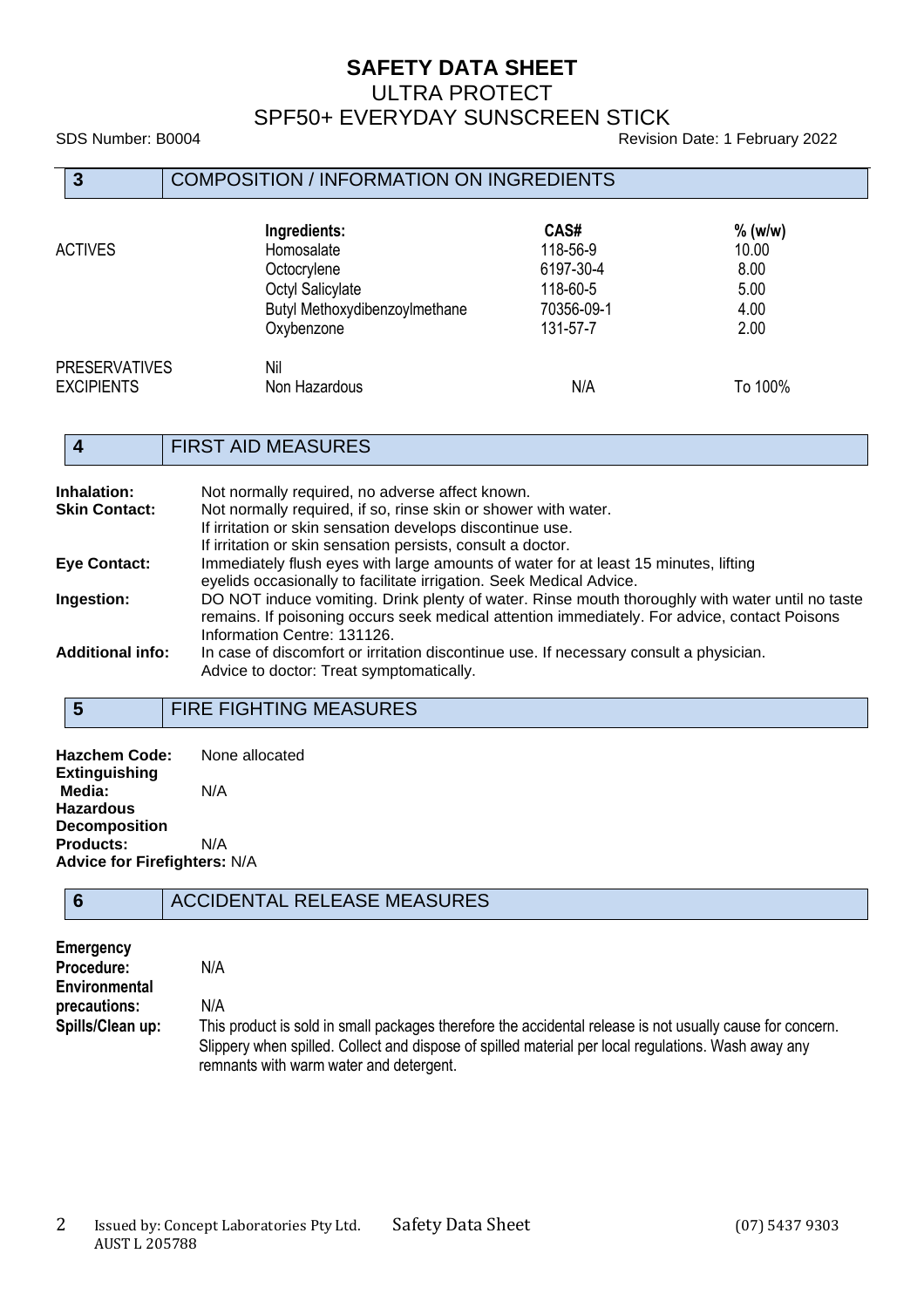# **SAFETY DATA SHEET**

ULTRA PROTECT

## SPF50+ EVERYDAY SUNSCREEN STICK

SDS Number: B0004 **Revision Date: 1 February 2022** 

| $\overline{3}$                            | <b>COMPOSITION / INFORMATION ON INGREDIENTS</b>                                                              |                                                                     |                                                    |
|-------------------------------------------|--------------------------------------------------------------------------------------------------------------|---------------------------------------------------------------------|----------------------------------------------------|
| <b>ACTIVES</b>                            | Ingredients:<br>Homosalate<br>Octocrylene<br>Octyl Salicylate<br>Butyl Methoxydibenzoylmethane<br>Oxybenzone | CAS#<br>118-56-9<br>6197-30-4<br>118-60-5<br>70356-09-1<br>131-57-7 | $%$ (w/w)<br>10.00<br>8.00<br>5.00<br>4.00<br>2.00 |
| <b>PRESERVATIVES</b><br><b>EXCIPIENTS</b> | Nil<br>Non Hazardous                                                                                         | N/A                                                                 | To 100%                                            |

## **4** FIRST AID MEASURES

| Inhalation:             | Not normally required, no adverse affect known.                                                                                                                                                                                |
|-------------------------|--------------------------------------------------------------------------------------------------------------------------------------------------------------------------------------------------------------------------------|
| <b>Skin Contact:</b>    | Not normally required, if so, rinse skin or shower with water.                                                                                                                                                                 |
|                         | If irritation or skin sensation develops discontinue use.                                                                                                                                                                      |
|                         | If irritation or skin sensation persists, consult a doctor.                                                                                                                                                                    |
| <b>Eye Contact:</b>     | Immediately flush eyes with large amounts of water for at least 15 minutes, lifting                                                                                                                                            |
|                         | eyelids occasionally to facilitate irrigation. Seek Medical Advice.                                                                                                                                                            |
| Ingestion:              | DO NOT induce vomiting. Drink plenty of water. Rinse mouth thoroughly with water until no taste<br>remains. If poisoning occurs seek medical attention immediately. For advice, contact Poisons<br>Information Centre: 131126. |
| <b>Additional info:</b> | In case of discomfort or irritation discontinue use. If necessary consult a physician.<br>Advice to doctor: Treat symptomatically.                                                                                             |

# **5** FIRE FIGHTING MEASURES

| Hazchem Code:                       | None allocated |
|-------------------------------------|----------------|
| <b>Extinguishing</b>                |                |
| Media:                              | N/A            |
| Hazardous                           |                |
| <b>Decomposition</b>                |                |
| <b>Products:</b>                    | N/A            |
| <b>Advice for Firefighters: N/A</b> |                |

### **6** ACCIDENTAL RELEASE MEASURES

| Emergency        |                                                                                                           |
|------------------|-----------------------------------------------------------------------------------------------------------|
| Procedure:       | N/A                                                                                                       |
| Environmental    |                                                                                                           |
| precautions:     | N/A                                                                                                       |
| Spills/Clean up: | This product is sold in small packages therefore the accidental release is not usually cause for concern. |
|                  | Slippery when spilled. Collect and dispose of spilled material per local regulations. Wash away any       |
|                  | remnants with warm water and detergent.                                                                   |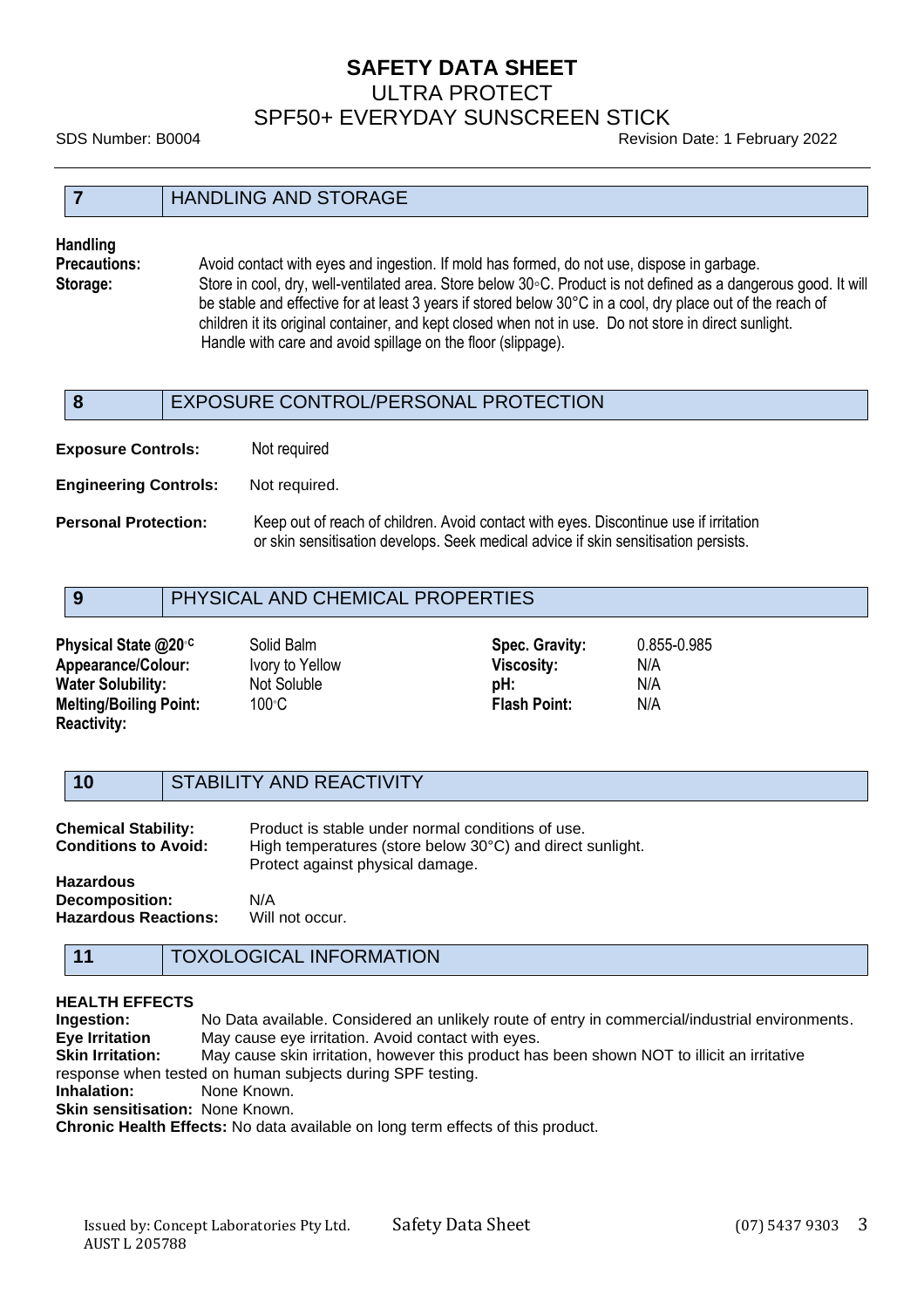# **SAFETY DATA SHEET** ULTRA PROTECT SPF50+ EVERYDAY SUNSCREEN STICK

SDS Number: B0004 Revision Date: 1 February 2022

#### **7** HANDLING AND STORAGE

**Handling**

**Precautions:** Avoid contact with eyes and ingestion. If mold has formed, do not use, dispose in garbage. **Storage:** Store in cool, dry, well-ventilated area. Store below 30◦C. Product is not defined as a dangerous good. It will be stable and effective for at least 3 years if stored below 30°C in a cool, dry place out of the reach of children it its original container, and kept closed when not in use. Do not store in direct sunlight. Handle with care and avoid spillage on the floor (slippage).

# **8** EXPOSURE CONTROL/PERSONAL PROTECTION

**Exposure Controls:** Not required

**Engineering Controls:** Not required.

**Personal Protection:** Keep out of reach of children. Avoid contact with eyes. Discontinue use if irritation or skin sensitisation develops. Seek medical advice if skin sensitisation persists.

## **9** PHYSICAL AND CHEMICAL PROPERTIES

| Physical State @20 <sup>°C</sup> | Solid Balm      | Spec. Gravity:      | 0.855-0.985 |
|----------------------------------|-----------------|---------------------|-------------|
| <b>Appearance/Colour:</b>        | Ivory to Yellow | <b>Viscosity:</b>   | N/A         |
| <b>Water Solubility:</b>         | Not Soluble     | pH:                 | N/A         |
| <b>Melting/Boiling Point:</b>    | 100°C           | <b>Flash Point:</b> | N/A         |
| <b>Reactivity:</b>               |                 |                     |             |

**10** STABILITY AND REACTIVITY

| <b>Chemical Stability:</b><br><b>Conditions to Avoid:</b> | Product is stable under normal conditions of use.<br>High temperatures (store below 30°C) and direct sunlight.<br>Protect against physical damage. |
|-----------------------------------------------------------|----------------------------------------------------------------------------------------------------------------------------------------------------|
| <b>Hazardous</b>                                          |                                                                                                                                                    |
| <b>Decomposition:</b>                                     | N/A                                                                                                                                                |
| <b>Hazardous Reactions:</b>                               | Will not occur.                                                                                                                                    |

# **11** TOXOLOGICAL INFORMATION

#### **HEALTH EFFECTS**

**Ingestion:** No Data available. Considered an unlikely route of entry in commercial/industrial environments. **Eye Irritation** May cause eye irritation. Avoid contact with eyes. **Skin Irritation:** May cause skin irritation, however this product has been shown NOT to illicit an irritative response when tested on human subjects during SPF testing. **Inhalation:** None Known. **Skin sensitisation: None Known. Chronic Health Effects:** No data available on long term effects of this product.